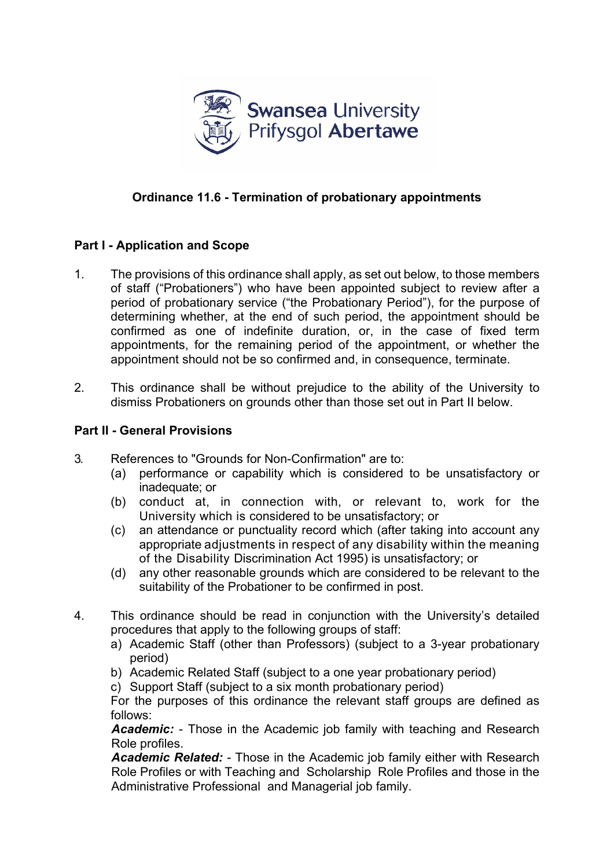

# **Ordinance 11.6 - Termination of probationary appointments**

# **Part I - Application and Scope**

- 1. The provisions of this ordinance shall apply, as set out below, to those members of staff ("Probationers") who have been appointed subject to review after a period of probationary service ("the Probationary Period"), for the purpose of determining whether, at the end of such period, the appointment should be confirmed as one of indefinite duration, or, in the case of fixed term appointments, for the remaining period of the appointment, or whether the appointment should not be so confirmed and, in consequence, terminate.
- 2. This ordinance shall be without prejudice to the ability of the University to dismiss Probationers on grounds other than those set out in Part II below.

### **Part II - General Provisions**

- 3. References to "Grounds for Non-Confirmation" are to:
	- (a) performance or capability which is considered to be unsatisfactory or inadequate; or
	- (b) conduct at, in connection with, or relevant to, work for the University which is considered to be unsatisfactory; or
	- (c) an attendance or punctuality record which (after taking into account any appropriate adjustments in respect of any disability within the meaning of the Disability Discrimination Act 1995) is unsatisfactory; or
	- (d) any other reasonable grounds which are considered to be relevant to the suitability of the Probationer to be confirmed in post.
- 4. This ordinance should be read in conjunction with the University's detailed procedures that apply to the following groups of staff:
	- a) Academic Staff (other than Professors) (subject to a 3-year probationary period)
	- b) Academic Related Staff (subject to a one year probationary period)

c) Support Staff (subject to a six month probationary period)

For the purposes of this ordinance the relevant staff groups are defined as follows:

*Academic:* - Those in the Academic job family with teaching and Research Role profiles.

*Academic Related:* - Those in the Academic job family either with Research Role Profiles or with Teaching and Scholarship Role Profiles and those in the Administrative Professional and Managerial job family.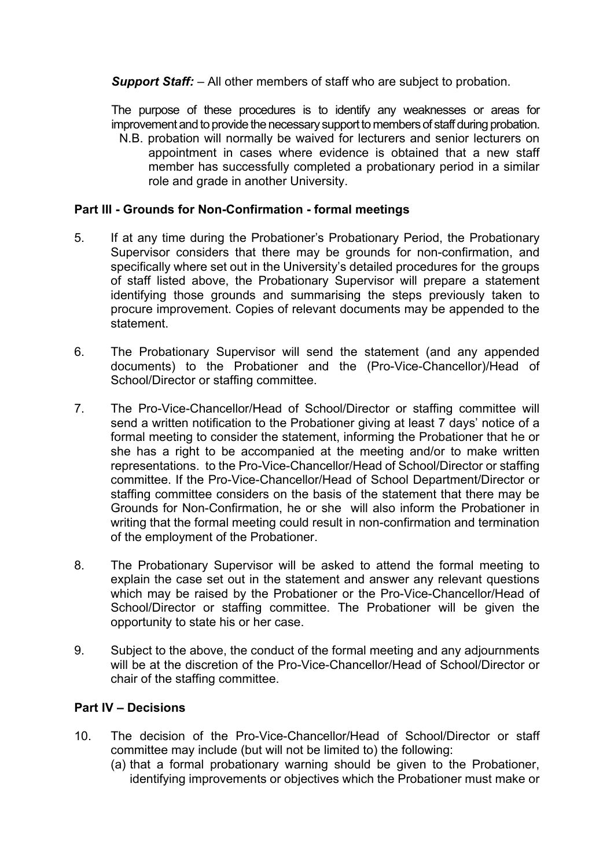*Support Staff:* – All other members of staff who are subject to probation.

The purpose of these procedures is to identify any weaknesses or areas for improvement and to provide the necessary support to members of staff during probation.

N.B. probation will normally be waived for lecturers and senior lecturers on appointment in cases where evidence is obtained that a new staff member has successfully completed a probationary period in a similar role and grade in another University.

### **Part III - Grounds for Non-Confirmation - formal meetings**

- 5. If at any time during the Probationer's Probationary Period, the Probationary Supervisor considers that there may be grounds for non-confirmation, and specifically where set out in the University's detailed procedures for the groups of staff listed above, the Probationary Supervisor will prepare a statement identifying those grounds and summarising the steps previously taken to procure improvement. Copies of relevant documents may be appended to the statement.
- 6. The Probationary Supervisor will send the statement (and any appended documents) to the Probationer and the (Pro-Vice-Chancellor)/Head of School/Director or staffing committee.
- 7. The Pro-Vice-Chancellor/Head of School/Director or staffing committee will send a written notification to the Probationer giving at least 7 days' notice of a formal meeting to consider the statement, informing the Probationer that he or she has a right to be accompanied at the meeting and/or to make written representations. to the Pro-Vice-Chancellor/Head of School/Director or staffing committee. If the Pro-Vice-Chancellor/Head of School Department/Director or staffing committee considers on the basis of the statement that there may be Grounds for Non-Confirmation, he or she will also inform the Probationer in writing that the formal meeting could result in non-confirmation and termination of the employment of the Probationer.
- 8. The Probationary Supervisor will be asked to attend the formal meeting to explain the case set out in the statement and answer any relevant questions which may be raised by the Probationer or the Pro-Vice-Chancellor/Head of School/Director or staffing committee. The Probationer will be given the opportunity to state his or her case.
- 9. Subject to the above, the conduct of the formal meeting and any adjournments will be at the discretion of the Pro-Vice-Chancellor/Head of School/Director or chair of the staffing committee.

# **Part IV – Decisions**

- 10. The decision of the Pro-Vice-Chancellor/Head of School/Director or staff committee may include (but will not be limited to) the following:
	- (a) that a formal probationary warning should be given to the Probationer, identifying improvements or objectives which the Probationer must make or